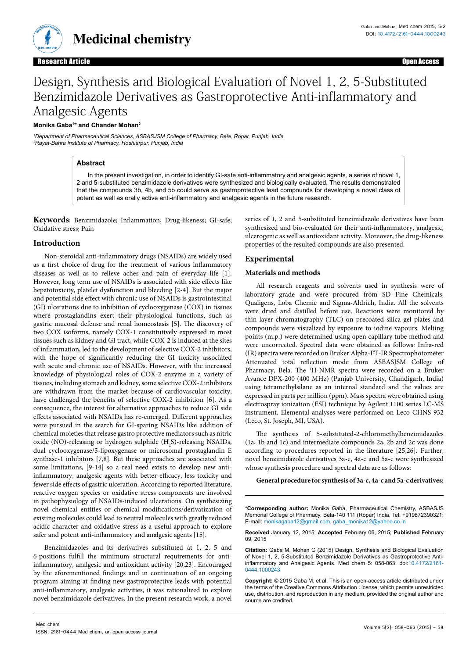

**Medicinal chemistry**

# Design, Synthesis and Biological Evaluation of Novel 1, 2, 5-Substituted Benzimidazole Derivatives as Gastroprotective Anti-inflammatory and Analgesic Agents

### **Monika Gaba1 \* and Chander Mohan2**

*1 Department of Pharmaceutical Sciences, ASBASJSM College of Pharmacy, Bela, Ropar, Punjab, India 2 Rayat-Bahra Institute of Pharmacy, Hoshiarpur, Punjab, India*

# **Abstract**

In the present investigation, in order to identify GI-safe anti-inflammatory and analgesic agents, a series of novel 1, 2 and 5-substituted benzimidazole derivatives were synthesized and biologically evaluated. The results demonstrated that the compounds 3b, 4b, and 5b could serve as gastroprotective lead compounds for developing a novel class of potent as well as orally active anti-inflammatory and analgesic agents in the future research.

**Keywords:** Benzimidazole; Inflammation; Drug-likeness; GI-safe; Oxidative stress; Pain

## **Introduction**

Non-steroidal anti-inflammatory drugs (NSAIDs) are widely used as a first choice of drug for the treatment of various inflammatory diseases as well as to relieve aches and pain of everyday life [1]. However, long term use of NSAIDs is associated with side effects like hepatotoxicity, platelet dysfunction and bleeding [2-4]. But the major and potential side effect with chronic use of NSAIDs is gastrointestinal (GI) ulcerations due to inhibition of cyclooxygenase (COX) in tissues where prostaglandins exert their physiological functions, such as gastric mucosal defense and renal homeostasis [5]. The discovery of two COX isoforms, namely COX-1 constitutively expressed in most tissues such as kidney and GI tract, while COX-2 is induced at the sites of inflammation, led to the development of selective COX-2 inhibitors, with the hope of significantly reducing the GI toxicity associated with acute and chronic use of NSAIDs. However, with the increased knowledge of physiological roles of COX-2 enzyme in a variety of tissues, including stomach and kidney, some selective COX-2 inhibitors are withdrawn from the market because of cardiovascular toxicity, have challenged the benefits of selective COX-2 inhibition [6]. As a consequence, the interest for alternative approaches to reduce GI side effects associated with NSAIDs has re-emerged. Different approaches were pursued in the search for GI-sparing NSAIDs like addition of chemical moieties that release gastro protective mediators such as nitric oxide (NO)-releasing or hydrogen sulphide  $(H_2S)$ -releasing NSAIDs, dual cyclooxygenase/5-lipoxygenase or microsomal prostaglandin E synthase-1 inhibitors [7,8]. But these approaches are associated with some limitations, [9-14] so a real need exists to develop new antiinflammatory, analgesic agents with better efficacy, less toxicity and fewer side effects of gastric ulceration. According to reported literature, reactive oxygen species or oxidative stress components are involved in pathophysiology of NSAIDs-induced ulcerations. On synthesizing novel chemical entities or chemical modifications/derivatization of existing molecules could lead to neutral molecules with greatly reduced acidic character and oxidative stress as a useful approach to explore safer and potent anti-inflammatory and analgesic agents [15].

Benzimidazoles and its derivatives substituted at 1, 2, 5 and 6-positions fulfill the minimum structural requirements for antiinflammatory, analgesic and antioxidant activity [20,23]. Encouraged by the aforementioned findings and in continuation of an ongoing program aiming at finding new gastroprotective leads with potential anti-inflammatory, analgesic activities, it was rationalized to explore novel benzimidazole derivatives. In the present research work, a novel

series of 1, 2 and 5-substituted benzimidazole derivatives have been synthesized and bio-evaluated for their anti-inflammatory, analgesic, ulcerogenic as well as antioxidant activity. Moreover, the drug-likeness properties of the resulted compounds are also presented.

# **Experimental**

#### **Materials and methods**

All research reagents and solvents used in synthesis were of laboratory grade and were procured from SD Fine Chemicals, Qualigens, Loba Chemie and Sigma-Aldrich, India. All the solvents were dried and distilled before use. Reactions were monitored by thin layer chromatography (TLC) on precoated silica gel plates and compounds were visualized by exposure to iodine vapours. Melting points (m.p.) were determined using open capillary tube method and were uncorrected. Spectral data were obtained as follows: Infra-red (IR) spectra were recorded on Bruker Alpha-FT-IR Spectrophotometer Attenuated total reflection mode from ASBASJSM College of Pharmacy, Bela. The <sup>1</sup>H-NMR spectra were recorded on a Bruker Avance DPX-200 (400 MHz) (Panjab University, Chandigarh, India) using tetramethylsilane as an internal standard and the values are expressed in parts per million (ppm). Mass spectra were obtained using electrospray ionization (ESI) technique by Agilent 1100 series LC-MS instrument. Elemental analyses were performed on Leco CHNS-932 (Leco, St. Joseph, MI, USA).

The synthesis of 5-substituted-2-chloromethylbenzimidazoles (1a, 1b and 1c) and intermediate compounds 2a, 2b and 2c was done according to procedures reported in the literature [25,26]. Further, novel benzimidazole derivatives 3a-c, 4a-c and 5a-c were synthesized whose synthesis procedure and spectral data are as follows:

**General procedure for synthesis of 3a-c, 4a-c and 5a-c derivatives:** 

**\*Corresponding author:** Monika Gaba, Pharmaceutical Chemistry, ASBASJS Memorial College of Pharmacy, Bela-140 111 (Ropar) India, Tel: +919872390321; E-mail: monikagaba12@gmail.com, gaba\_monika12@yahoo.co.in

**Received** January 12, 2015; **Accepted** February 06, 2015; **Published** February 09, 2015

**Citation:** Gaba M, Mohan C (2015) Design, Synthesis and Biological Evaluation of Novel 1, 2, 5-Substituted Benzimidazole Derivatives as Gastroprotective Antiinflammatory and Analgesic Agents. Med chem 5: 058-063. doi:10.4172/2161- 0444.1000243

**Copyright:** © 2015 Gaba M, et al. This is an open-access article distributed under the terms of the Creative Commons Attribution License, which permits unrestricted use, distribution, and reproduction in any medium, provided the original author and source are credited.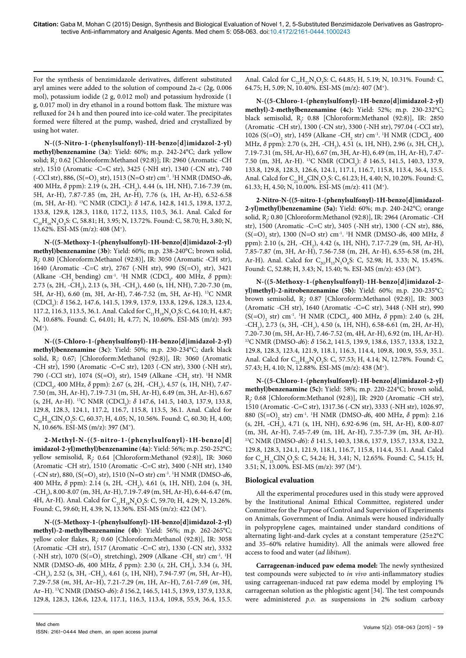For the synthesis of benzimidazole derivatives, different substituted aryl amines were added to the solution of compound 2a-c (2g, 0.006 mol), potassium iodide (2 g, 0.012 mol) and potassium hydroxide (1 g, 0.017 mol) in dry ethanol in a round bottom flask. The mixture was refluxed for 24 h and then poured into ice-cold water. The precipitates formed were filtered at the pump, washed, dried and crystallized by using hot water.

**N-((5-Nitro-1-(phenylsulfonyl)-1H-benzo[d]imidazol-2-yl) methyl)benzenamine** (**3a**): Yield: 60%; m.p. 242-24°C; dark yellow solid; R*<sup>f</sup>* : 0.62 [Chloroform:Methanol (92:8)]; IR: 2960 (Aromatic -CH str), 1510 (Aromatic -C=C str), 3425 (-NH str), 1340 (-CN str), 740 (-CCl str), 886, (S(=O)<sub>2</sub> str), 1513 (N=O str) cm<sup>-1</sup>. <sup>1</sup>H NMR (DMSO-*d*6, 400 MHz, δ ppm): 2.19 (s, 2H, -CH<sub>2</sub>), 4.44 (s, 1H, NH), 7.16-7.39 (m, 5H, Ar-H), 7.87-7.85 (m, 2H, Ar-H), 7.76 (s, 1H, Ar-H), 6.52-6.58 (m, 5H, Ar-H). <sup>13</sup>C NMR (CDCl<sub>3</sub>): *δ* 147.6, 142.8, 141.5, 139.8, 137.2, 133.8, 129.8, 128.3, 118.0, 117.2, 113.5, 110.5, 36.1. Anal. Calcd for  $C_{20}H_{16}N_4O_4S$ : C, 58.81; H, 3.95; N, 13.72%. Found: C, 58.70; H, 3.80; N, 13.62%. ESI-MS (m/z): 408 (M+).

**N-((5-Methoxy-1-(phenylsulfonyl)-1H-benzo[d]imidazol-2-yl) methyl)benzenamine** (**3b**): Yield: 60%; m.p. 238-240°C; brown solid, R*f* : 0.80 [Chloroform:Methanol (92:8)], IR: 3050 (Aromatic -CH str), 1640 (Aromatic -C=C str), 2767 (-NH str), 990 (S(=O)<sub>2</sub> str), 3421 (Alkane -CH<sub>3</sub> bending) cm<sup>-1</sup>. <sup>1</sup>H NMR (CDCl<sub>3</sub>, 400 MHz, δ ppm): 2.73 (s, 2H, -CH<sub>2</sub>), 2.13 (s, 3H, -CH<sub>3</sub>), 4.60 (s, 1H, NH), 7.20-7.30 (m, 5H, Ar-H), 6.60 (m, 3H, Ar-H), 7.46-7.52 (m, 5H, Ar-H). 13C NMR (CDCl<sub>3</sub>): *δ* 156.2, 147.6, 141.5, 139.9, 137.9, 133.8, 129.6, 128.3, 123.4, 117.2, 116.3, 113.5, 36.1. Anal. Calcd for  $C_{21}H_{19}N_3O_3S$ : C, 64.10; H, 4.87; N, 10.68%. Found: C, 64.01; H, 4.77; N, 10.60%. ESI-MS (m/z): 393  $(M^+).$ 

**N-((5-Chloro-1-(phenylsulfonyl)-1H-benzo[d]imidazol-2-yl) methyl)benzenamine** (**3c**): Yield: 50%; m.p. 230-234°C; dark black solid, R*<sup>f</sup>* : 0.67; [Chloroform:Methanol (92:8)], IR: 3060 (Aromatic -CH str), 1590 (Aromatic -C=C str), 1203 (-CN str), 3300 (-NH str), 790 (-CCl str), 1074 (S(=O)<sub>2</sub> str), 1549 (Alkane -CH<sub>2</sub> str). <sup>1</sup>H NMR (CDCl<sub>3</sub>, 400 MHz, δ ppm): 2.67 (s, 2H, -CH<sub>2</sub>), 4.57 (s, 1H, NH), 7.47-7.50 (m, 3H, Ar-H), 7.19-7.31 (m, 5H, Ar-H), 6.49 (m, 3H, Ar-H), 6.67 (s, 2H, Ar-H). <sup>13</sup>C NMR (CDCl<sub>3</sub>): δ 147.6, 141.5, 140.3, 137.9, 133.8, 129.8, 128.3, 124.1, 117.2, 116.7, 115.8, 113.5, 36.1. Anal. Calcd for  $C_{20}H_{16}CIN_{3}O_{2}S$ : C, 60.37; H, 4.05; N, 10.56%. Found: C, 60.30; H, 4.00; N, 10.66%. ESI-MS (m/z): 397 (M+).

**2-Methyl-N-((5-nitro-1-(phenylsulfonyl)-1H-benzo[d] imidazol-2-yl)methyl)benzenamine** (**4a**): Yield: 56%; m.p. 250-252°C; yellow semisolid, R*<sup>f</sup>* : 0.64 [Chloroform:Methanol (92:8)], IR: 3060 (Aromatic -CH str), 1510 (Aromatic -C=C str), 3400 (-NH str), 1340 (-CN str), 880, (S(=O)<sub>2</sub> str), 1510 (N=O str) cm<sup>-1</sup>. <sup>1</sup>H NMR (DMSO-*d*6, 400 MHz, δ ppm): 2.14 (s, 2H, -CH<sub>2</sub>), 4.61 (s, 1H, NH), 2.04 (s, 3H,  $-CH<sub>3</sub>$ ), 8.00-8.07 (m, 3H, Ar-H), 7.19-7.49 (m, 5H, Ar-H), 6.44-6.47 (m, 4H, Ar-H). Anal. Calcd for  $C_{21}H_{18}N_4O_4S$ : C, 59.70; H, 4.29; N, 13.26%. Found: C, 59.60; H, 4.39; N, 13.36%. ESI-MS (m/z): 422 (M+).

**N-((5-Methoxy-1-(phenylsulfonyl)-1H-benzo[d]imidazol-2-yl) methyl)-2-methylbenzenamine (4b**): Yield: 56%; m.p. 262-265°C; yellow color flakes, R*<sup>f</sup>* : 0.60 [Chloroform:Methanol (92:8)], IR: 3058 (Aromatic -CH str), 1517 (Aromatic -C=C str), 1330 (-CN str), 3332 (-NH str), 1070 (S(=O)<sub>2</sub> stretching), 2909 (Alkane -CH<sub>3</sub> str) cm<sup>-1</sup>. <sup>1</sup>H NMR (DMSO*-d*6, 400 MHz, δ ppm): 2.30 (*s*, 2H, CH<sub>2</sub>), 3.34 (*s*, 3H, -CH3 ), 2.52 (s, 3H, -CH3 ), 4.61 (*s*, 1H, NH), 7.94-7.97 (*m*, 5H, Ar–H), 7.29-7.58 (*m*, 3H, Ar–H), 7.21-7.29 (*m*, 1H, Ar–H), 7.61-7.69 (*m*, 3H, Ar–H). 13C NMR (DMSO-*d*6): *δ* 156.2, 146.5, 141.5, 139.9, 137.9, 133.8, 129.8, 128.3, 126.6, 123.4, 117.1, 116.3, 113.4, 109.8, 55.9, 36.4, 15.5.

Anal. Calcd for  $C_{22}H_{21}N_3O_3S$ : C, 64.85; H, 5.19; N, 10.31%. Found: C, 64.75; H, 5.09; N, 10.40%. ESI-MS (m/z): 407 (M+).

**N-((5-Chloro-1-(phenylsulfonyl)-1H-benzo[d]imidazol-2-yl) methyl)-2-methylbenzenamine (4c):** Yield: 52%; m.p. 230-232°C; black semisolid, R*<sup>f</sup>* : 0.88 [Chloroform:Methanol (92:8)], IR: 2850 (Aromatic -CH str), 1300 (-CN str), 3300 (-NH str), 797.04 (-CCl str), 1026 (S(=O)<sub>2</sub> str), 1459 (Alkane -CH<sub>2</sub> str) cm<sup>-1</sup>. <sup>1</sup>H NMR (CDCl<sub>3</sub>, 400 MHz, δ ppm): 2.70 (s, 2H, -CH<sub>2</sub>), 4.51 (s, 1H, NH), 2.96 (s, 3H, CH<sub>3</sub>), 7.19-7.31 (m, 5H, Ar-H), 6.67 (m, 3H, Ar-H), 6.49 (m, 1H, Ar-H), 7.47- 7.50 (m, 3H, Ar-H). <sup>13</sup>C NMR (CDCl<sub>3</sub>): δ 146.5, 141.5, 140.3, 137.9, 133.8, 129.8, 128.3, 126.6, 124.1, 117.1, 116.7, 115.8, 113.4, 36.4, 15.5. Anal. Calcd for  $C_{21}H_{18}CN_3O_2S$ : C, 61.23; H, 4.40; N, 10.20%. Found: C, 61.33; H, 4.50; N, 10.00%. ESI-MS (m/z): 411 (M+).

**2-Nitro-N-((5-nitro-1-(phenylsulfonyl)-1H-benzo[d]imidazol-2-yl)methyl)benzenamine (5a):** Yield: 60%; m.p. 240-242°C; orange solid, R*<sup>f</sup>* : 0.80 [Chloroform:Methanol (92:8)], IR: 2964 (Aromatic -CH str), 1500 (Aromatic -C=C str), 3405 (-NH str), 1300 (-CN str), 886, (S(=O)2 str), 1300 (N=O str) cm-1. 1 H NMR (DMSO-*d*6, 400 MHz, *δ* ppm): 2.10 (s, 2H, -CH<sub>2</sub>), 4.42 (s, 1H, NH), 7.17-7.29 (m, 5H, Ar-H), 7.85-7.87 (m, 3H, Ar-H), 7.56-7.58 (m, 2H, Ar-H), 6.55-6.58 (m, 2H, Ar-H). Anal. Calcd for  $C_{20}H_{15}N_{5}O_{6}S$ : C, 52.98; H, 3.33; N, 15.45%. Found: C, 52.88; H, 3.43; N, 15.40; %. ESI-MS (m/z): 453 (M+).

**N-((5-Methoxy-1-(phenylsulfonyl)-1H-benzo[d]imidazol-2 yl)methyl)-2-nitrobenzenamine (5b):** Yield: 60%; m.p. 230-235°C; brown semisolid, R*<sup>f</sup>* : 0.87 [Chloroform:Methanol (92:8)], IR: 3003 (Aromatic -CH str), 1640 (Aromatic -C=C str), 3448 (-NH str), 990 (S(=O)<sub>2</sub> str) cm<sup>-1</sup>. <sup>1</sup>H NMR (CDCl<sub>3</sub>, 400 MHz, δ ppm): 2.40 (s, 2H,  $-CH<sub>2</sub>$ ), 2.73 (s, 3H,  $-CH<sub>3</sub>$ ), 4.50 (s, 1H, NH), 6.58-6.61 (m, 2H, Ar-H), 7.20-7.30 (m, 5H, Ar-H), 7.46-7.52 (m, 4H, Ar-H), 6.92 (m, 1H, Ar-H). 13C NMR (DMSO-*d*6): *δ* 156.2, 141.5, 139.9, 138.6, 135.7, 133.8, 132.2, 129.8, 128.3, 123.4, 121.9, 118.1, 116.3, 114.4, 109.8, 100.9, 55.9, 35.1. Anal. Calcd for  $C_{21}H_{18}N_4O_5S$ : C, 57.53; H, 4.14; N, 12.78%. Found: C, 57.43; H, 4.10; N, 12.88%. ESI-MS (m/z): 438 (M+).

**N-((5-Chloro-1-(phenylsulfonyl)-1H-benzo[d]imidazol-2-yl) methyl)benzenamine (5c):** Yield: 58%; m.p. 220-224°C; brown solid, R*f* : 0.68 [Chloroform:Methanol (92:8)], IR: 2920 (Aromatic -CH str), 1510 (Aromatic -C=C str), 1317.36 (-CN str), 3333 (-NH str), 1026.97, 880 (S(=O)<sub>2</sub> str) cm<sup>-1</sup>. <sup>1</sup>H NMR (DMSO-*d*6, 400 MHz, δ ppm): 2.16 (s, 2H, -CH<sub>2</sub>), 4.71 (s, 1H, NH), 6.92-6.96 (m, 5H, Ar-H), 8.00-8.07 (m, 3H, Ar-H), 7.45-7.49 (m, 1H, Ar-H), 7.35-7.39 (m, 3H, Ar-H). 13C NMR (DMSO-*d*6): *δ* 141.5, 140.3, 138.6, 137.9, 135.7, 133.8, 132.2, 129.8, 128.3, 124.1, 121.9, 118.1, 116.7, 115.8, 114.4, 35.1. Anal. Calcd for  $C_{20}H_{15}CIN_4O_4S$ : C, 54.24; H, 3.41; N, 12.65%. Found: C, 54.15; H, 3.51; N, 13.00%. ESI-MS (m/z): 397 (M+).

# **Biological evaluation**

All the experimental procedures used in this study were approved by the Institutional Animal Ethical Committee, registered under Committee for the Purpose of Control and Supervision of Experiments on Animals, Government of India. Animals were housed individually in polypropylene cages, maintained under standard conditions of alternating light-and-dark cycles at a constant temperature (25±2°C and 35–60% relative humidity). All the animals were allowed free access to food and water (*ad libitum*).

**Carrageenan-induced paw edema model:** The newly synthesized test compounds were subjected to *in vivo* anti-inflammatory studies using carrageenan-induced rat paw edema model by employing 1% carrageenan solution as the phlogistic agent[34]. The test compounds were administered *p.o.* as suspensions in 2% sodium carboxy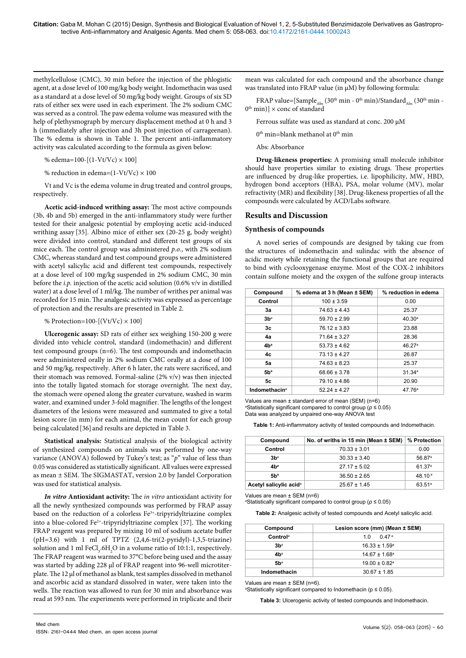methylcellulose (CMC), 30 min before the injection of the phlogistic agent, at a dose level of 100 mg/kg body weight. Indomethacin was used as a standard at a dose level of 50 mg/kg body weight. Groups of six SD rats of either sex were used in each experiment. The 2% sodium CMC was served as a control. The paw edema volume was measured with the help of plethysmograph by mercury displacement method at 0 h and 3 h (immediately after injection and 3h post injection of carrageenan). The % edema is shown in Table 1. The percent anti-inflammatory activity was calculated according to the formula as given below:

% edema=100- $[(1-Vt/Vc) \times 100]$ 

% reduction in edema= $(1-Vt/Vc) \times 100$ 

Vt and Vc is the edema volume in drug treated and control groups, respectively.

**Acetic acid-induced writhing assay:** The most active compounds (3b, 4b and 5b) emerged in the anti-inflammatory study were further tested for their analgesic potential by employing acetic acid-induced writhing assay [35]. Albino mice of either sex (20-25 g, body weight) were divided into control, standard and different test groups of six mice each. The control group was administered *p.o.*, with 2% sodium CMC, whereas standard and test compound groups were administered with acetyl salicylic acid and different test compounds, respectively at a dose level of 100 mg/kg suspended in 2% sodium CMC, 30 min before the *i.p.* injection of the acetic acid solution (0.6% v/v in distilled water) at a dose level of 1 ml/kg. The number of writhes per animal was recorded for 15 min. The analgesic activity was expressed as percentage of protection and the results are presented in Table 2.

% Protection=100- $[(Vt/Vc) \times 100]$ 

**Ulcerogenic assay:** SD rats of either sex weighing 150-200 g were divided into vehicle control, standard (indomethacin) and different test compound groups (n=6). The test compounds and indomethacin were administered orally in 2% sodium CMC orally at a dose of 100 and 50 mg/kg, respectively. After 6 h later, the rats were sacrificed, and their stomach was removed. Formal-saline (2% v/v) was then injected into the totally ligated stomach for storage overnight. The next day, the stomach were opened along the greater curvature, washed in warm water, and examined under 3-fold magnifier. The lengths of the longest diameters of the lesions were measured and summated to give a total lesion score (in mm) for each animal, the mean count for each group being calculated [36] and results are depicted in Table 3.

**Statistical analysis:** Statistical analysis of the biological activity of synthesized compounds on animals was performed by one-way variance (ANOVA) followed by Tukey's test; as "*p*" value of less than 0.05 was considered as statistically significant. All values were expressed as mean ± SEM. The SIGMASTAT, version 2.0 by Jandel Corporation was used for statistical analysis.

*In vitro* **Antioxidant activity:** The *in vitro* antioxidant activity for all the newly synthesized compounds was performed by FRAP assay based on the reduction of a colorless Fe<sup>3+</sup>-tripyridyltriazine complex into a blue-colored Fe<sup>2+</sup>-tripyridyltriazine complex [37]. The working FRAP reagent was prepared by mixing 10 ml of sodium acetate buffer (pH=3.6) with 1 ml of TPTZ (2,4,6-tri(2-pyridyl)-1,3,5-triazine) solution and 1 ml  $\text{FeCl}_3\text{.}6\text{H}_2\text{O}$  in a volume ratio of 10:1:1, respectively. The FRAP reagent was warmed to 37°C before being used and the assay was started by adding 228 μl of FRAP reagent into 96-well microtiterplate. The 12 μl of methanol as blank, test samples dissolved in methanol and ascorbic acid as standard dissolved in water, were taken into the wells. The reaction was allowed to run for 30 min and absorbance was read at 593 nm. The experiments were performed in triplicate and their

mean was calculated for each compound and the absorbance change was translated into FRAP value (in μM) by following formula:

FRAP value=[Sample<sub>Abs</sub> (30<sup>th</sup> min - 0<sup>th</sup> min)/Standard<sub>Abs</sub> (30<sup>th</sup> min - $0^{th}$  min)]  $\times$  conc of standard

Ferrous sulfate was used as standard at conc. 200 μM

 $0<sup>th</sup>$  min=blank methanol at  $0<sup>th</sup>$  min

Abs: Absorbance

**Drug-likeness properties:** A promising small molecule inhibitor should have properties similar to existing drugs. These properties are influenced by drug-like properties, i.e. lipophilicity, MW, HBD, hydrogen bond acceptors (HBA), PSA, molar volume (MV), molar refractivity (MR) and flexibility [38]. Drug-likeness properties of all the compounds were calculated by ACD/Labs software.

## **Results and Discussion**

#### **Synthesis of compounds**

A novel series of compounds are designed by taking cue from the structures of indomethacin and sulindac with the absence of acidic moiety while retaining the functional groups that are required to bind with cyclooxygenase enzyme. Most of the COX-2 inhibitors contain sulfone moiety and the oxygen of the [sulfone](http://en.wikipedia.org/wiki/Sulfone) group interacts

| Compound                        | % edema at 3 h (Mean ± SEM) | % reduction in edema |
|---------------------------------|-----------------------------|----------------------|
| Control                         | $100 \pm 3.59$              | 0.00                 |
| 3a                              | $74.63 \pm 4.43$            | 25.37                |
| 3b <sup>a</sup>                 | $59.70 \pm 2.99$            | 40.30 <sup>a</sup>   |
| 3c                              | $76.12 \pm 3.83$            | 23.88                |
| 4a                              | $71.64 \pm 3.27$            | 28.36                |
| 4b <sup>a</sup>                 | $53.73 \pm 4.62$            | 46.27 <sup>a</sup>   |
| 4c                              | $73.13 \pm 4.27$            | 26.87                |
| 5a                              | $74.63 \pm 8.23$            | 25.37                |
| 5b <sup>a</sup>                 | $68.66 \pm 3.78$            | 31.34a               |
| 5c                              | $79.10 \pm 4.86$            | 20.90                |
| <b>Indomethacin<sup>a</sup></b> | $52.24 \pm 4.27$            | 47.76 <sup>a</sup>   |

Values are mean ± standard error of mean (SEM) (n=6) a Statistically significant compared to control group (*p* ≤ 0.05) Data was analyzed by unpaired one-way ANOVA test

**Table 1:** Anti-inflammatory activity of tested compounds and Indomethacin.

| Compound                           | No. of wriths in 15 min (Mean ± SEM) | % Protection       |  |  |
|------------------------------------|--------------------------------------|--------------------|--|--|
| Control                            | $70.33 \pm 3.01$                     | 0.00               |  |  |
| 3b <sup>a</sup>                    | $30.33 \pm 3.40$                     | 56.87 <sup>a</sup> |  |  |
| 4b <sup>a</sup>                    | $27.17 \pm 5.02$                     | 61.37 <sup>a</sup> |  |  |
| 5b <sup>a</sup>                    | $36.50 \pm 2.65$                     | 48.10 <sup>a</sup> |  |  |
| Acetyl salicylic acid <sup>a</sup> | $25.67 \pm 1.45$                     | 63.51 <sup>a</sup> |  |  |

Values are mean ± SEM (n=6)

a Statistically significant compared to control group (*p* ≤ 0.05)

**Table 2:** Analgesic activity of tested compounds and Acetyl salicylic acid.

| Compound             | Lesion score (mm) (Mean ± SEM) |
|----------------------|--------------------------------|
| Control <sup>a</sup> | $1.0 \t 0.47$ <sup>a</sup>     |
| 3b <sup>a</sup>      | $16.33 \pm 1.59^{\circ}$       |
| 4bª                  | $14.67 \pm 1.68$ <sup>a</sup>  |
| $5b^a$               | $19.00 \pm 0.82$ <sup>a</sup>  |
| Indomethacin         | $30.67 \pm 1.85$               |

Values are mean ± SEM (n=6).

aStatistically significant compared to Indomethacin ( $p ≤ 0.05$ ).

**Table 3:** Ulcerogenic activity of tested compounds and Indomethacin.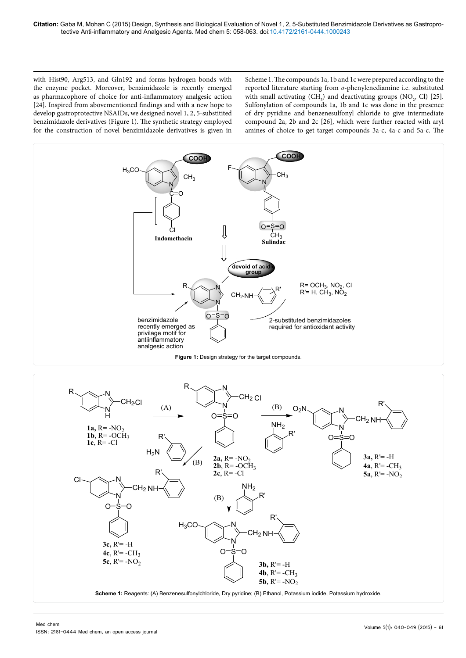with Hist90, Arg513, and Gln192 and forms hydrogen bonds with the enzyme pocket. Moreover, benzimidazole is recently emerged as pharmacophore of choice for anti-inflammatory analgesic action [24]. Inspired from abovementioned findings and with a new hope to develop gastroprotective NSAIDs, we designed novel 1, 2, 5-substitited benzimidazole derivatives (Figure 1). The synthetic strategy employed for the construction of novel benzimidazole derivatives is given in

Scheme 1. The compounds 1a, 1b and 1c were prepared according to the reported literature starting from *o*-phenylenediamine i.e. substituted with small activating  $(CH_3)$  and deactivating groups  $(NO_2, Cl)$  [25]. Sulfonylation of compounds 1a, 1b and 1c was done in the presence of dry pyridine and benzenesulfonyl chloride to give intermediate compound 2a, 2b and 2c [26], which were further reacted with aryl amines of choice to get target compounds 3a-c, 4a-c and 5a-c. The



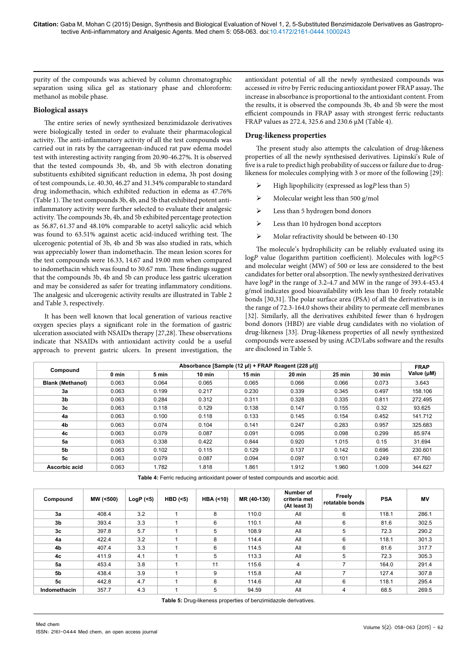purity of the compounds was achieved by column chromatographic separation using silica gel as stationary phase and chloroform: methanol as mobile phase.

# **Biological assays**

The entire series of newly synthesized benzimidazole derivatives were biologically tested in order to evaluate their pharmacological activity. The anti-inflammatory activity of all the test compounds was carried out in rats by the carrageenan-induced rat paw edema model test with interesting activity ranging from 20.90-46.27%. It is observed that the tested compounds 3b, 4b, and 5b with electron donating substituents exhibited significant reduction in edema, 3h post dosing of test compounds, i.e. 40.30, 46.27 and 31.34% comparable to standard drug indomethacin, which exhibited reduction in edema as 47.76% (Table 1). The test compounds 3b, 4b, and 5b that exhibited potent antiinflammatory activity were further selected to evaluate their analgesic activity. The compounds 3b, 4b, and 5b exhibited percentage protection as 56.87, 61.37 and 48.10% comparable to acetyl salicylic acid which was found to 63.51% against acetic acid-induced writhing test. The ulcerogenic potential of 3b, 4b and 5b was also studied in rats, which was appreciably lower than indomethacin. The mean lesion scores for the test compounds were 16.33, 14.67 and 19.00 mm when compared to indomethacin which was found to 30.67 mm. These findings suggest that the compounds 3b, 4b and 5b can produce less gastric ulceration and may be considered as safer for treating inflammatory conditions. The analgesic and ulcerogenic activity results are illustrated in Table 2 and Table 3, respectively.

It has been well known that local generation of various reactive oxygen species plays a significant role in the formation of gastric ulceration associated with NSAIDs therapy [27,28]. These observations indicate that NSAIDs with antioxidant activity could be a useful approach to prevent gastric ulcers. In present investigation, the antioxidant potential of all the newly synthesized compounds was accessed *in vitro* by Ferric reducing antioxidant power FRAP assay**.** The increase in absorbance is proportional to the antioxidant content. From the results, it is observed the compounds 3b, 4b and 5b were the most efficient compounds in FRAP assay with strongest ferric reductants FRAP values as 272.4, 325.6 and 230.6 μM (Table 4).

# **Drug-likeness properties**

The present study also attempts the calculation of drug-likeness properties of all the newly synthesised derivatives. Lipinski's Rule of five is a rule to predict high probability of success or failure due to druglikeness for molecules complying with 3 or more of the following [29]:

- High lipophilicity (expressed as log*P* less than 5)
- $\triangleright$  Molecular weight less than 500 g/mol
- Less than 5 hydrogen bond donors
- Eess than 10 hydrogen bond acceptors
- $\triangleright$  Molar refractivity should be between 40-130

The molecule's hydrophilicity can be reliably evaluated using its log*P* value (logarithm partition coefficient). Molecules with log*P*<5 and molecular weight (MW) of 500 or less are considered to the best candidates for better oral absorption. The newly synthesized derivatives have log*P* in the range of 3.2**-**4.7 and MW in the range of 393.4-453.4 g/mol indicates good bioavailability with less than 10 freely rotatable bonds [30,31]. The polar surface area (PSA) of all the derivatives is in the range of 72.3-164.0 shows their ability to permeate cell membranes [32]. Similarly, all the derivatives exhibited fewer than 6 hydrogen bond donors (HBD) are viable drug candidates with no violation of drug-likeness [33]. Drug-likeness properties of all newly synthesized compounds were assessed by using ACD/Labs software and the results are disclosed in Table 5.

| Compound                | Absorbance [Sample (12 µl) + FRAP Reagent (228 µl)] |       |          |          |        |          |               |            |
|-------------------------|-----------------------------------------------------|-------|----------|----------|--------|----------|---------------|------------|
|                         | 0 min                                               | 5 min | $10$ min | $15$ min | 20 min | $25$ min | <b>30 min</b> | Value (µM) |
| <b>Blank (Methanol)</b> | 0.063                                               | 0.064 | 0.065    | 0.065    | 0.066  | 0.066    | 0.073         | 3.643      |
| 3a                      | 0.063                                               | 0.199 | 0.217    | 0.230    | 0.339  | 0.345    | 0.497         | 158.106    |
| 3 <sub>b</sub>          | 0.063                                               | 0.284 | 0.312    | 0.311    | 0.328  | 0.335    | 0.811         | 272.495    |
| 3c                      | 0.063                                               | 0.118 | 0.129    | 0.138    | 0.147  | 0.155    | 0.32          | 93.625     |
| 4a                      | 0.063                                               | 0.100 | 0.118    | 0.133    | 0.145  | 0.154    | 0.452         | 141.712    |
| 4b                      | 0.063                                               | 0.074 | 0.104    | 0.141    | 0.247  | 0.283    | 0.957         | 325.683    |
| 4c                      | 0.063                                               | 0.079 | 0.087    | 0.091    | 0.095  | 0.098    | 0.299         | 85.974     |
| 5a                      | 0.063                                               | 0.338 | 0.422    | 0.844    | 0.920  | 1.015    | 0.15          | 31.694     |
| 5b                      | 0.063                                               | 0.102 | 0.115    | 0.129    | 0.137  | 0.142    | 0.696         | 230.601    |
| 5c                      | 0.063                                               | 0.079 | 0.087    | 0.094    | 0.097  | 0.101    | 0.249         | 67.760     |
| Ascorbic acid           | 0.063                                               | 1.782 | 1.818    | 1.861    | 1.912  | 1.960    | 1.009         | 344.627    |

**Table 4:** Ferric reducing antioxidant power of tested compounds and ascorbic acid.

| Compound       | MW (<500) | $LogP$ (<5) | $HBD$ (<5) | HBA $($ < 10) | MR (40-130) | <b>Number of</b><br>criteria met<br>(At least 3) | Freely<br>rotatable bonds | <b>PSA</b> | <b>MV</b> |
|----------------|-----------|-------------|------------|---------------|-------------|--------------------------------------------------|---------------------------|------------|-----------|
| 3a             | 408.4     | 3.2         |            | 8             | 110.0       | All                                              | 6                         | 118.1      | 286.1     |
| 3 <sub>b</sub> | 393.4     | 3.3         |            | 6             | 110.1       | All                                              | 6                         | 81.6       | 302.5     |
| 3c             | 397.8     | 5.7         |            | 5             | 108.9       | All                                              | 5                         | 72.3       | 290.2     |
| 4a             | 422.4     | 3.2         |            | 8             | 114.4       | All                                              | 6                         | 118.1      | 301.3     |
| 4b             | 407.4     | 3.3         |            | 6             | 114.5       | All                                              | 6                         | 81.6       | 317.7     |
| 4c             | 411.9     | 4.1         |            | 5             | 113.3       | All                                              | 5                         | 72.3       | 305.3     |
| 5a             | 453.4     | 3.8         |            | 11            | 115.6       | 4                                                | 7                         | 164.0      | 291.4     |
| 5b             | 438.4     | 3.9         |            | 9             | 115.8       | All                                              | 7                         | 127.4      | 307.8     |
| 5c             | 442.8     | 4.7         |            | 8             | 114.6       | All                                              | 6                         | 118.1      | 295.4     |
| Indomethacin   | 357.7     | 4.3         |            | 5             | 94.59       | All                                              | 4                         | 68.5       | 269.5     |

**Table 5:** Drug-likeness properties of benzimidazole derivatives.